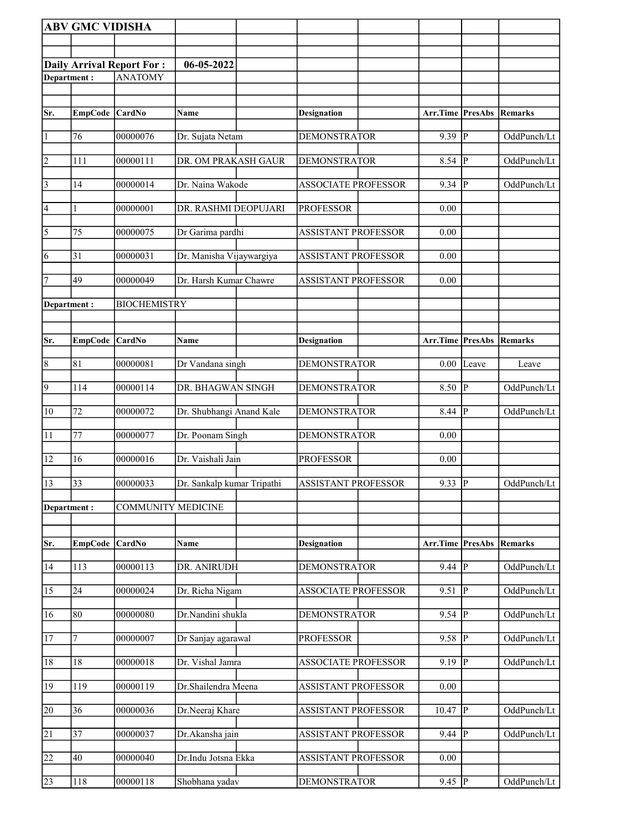|                 | <b>ABV GMC VIDISHA</b> |                                  |                            |                            |                  |                         |             |
|-----------------|------------------------|----------------------------------|----------------------------|----------------------------|------------------|-------------------------|-------------|
|                 |                        |                                  |                            |                            |                  |                         |             |
|                 |                        | <b>Daily Arrival Report For:</b> | 06-05-2022                 |                            |                  |                         |             |
| Department:     |                        | <b>ANATOMY</b>                   |                            |                            |                  |                         |             |
|                 |                        |                                  |                            |                            |                  |                         |             |
| Sr.             | <b>EmpCode</b>         | $\overline{\text{CardNo}}$       | <b>Name</b>                | <b>Designation</b>         | Arr.Time PresAbs |                         | Remarks     |
|                 |                        |                                  |                            |                            |                  |                         |             |
| $\vert$ 1       | 76                     | 00000076                         | Dr. Sujata Netam           | <b>DEMONSTRATOR</b>        | 9.39 P           |                         | OddPunch/Lt |
| $\overline{2}$  | 111                    | 00000111                         | DR. OM PRAKASH GAUR        | <b>DEMONSTRATOR</b>        | 8.54             | P                       | OddPunch/Lt |
| $\vert$ 3       | 14                     | 00000014                         | Dr. Naina Wakode           | <b>ASSOCIATE PROFESSOR</b> | 9.34             | P                       | OddPunch/Lt |
| 4               | 1                      | 00000001                         | DR. RASHMI DEOPUJARI       | <b>PROFESSOR</b>           | 0.00             |                         |             |
| $\overline{5}$  | 75                     | 00000075                         | Dr Garima pardhi           | <b>ASSISTANT PROFESSOR</b> | 0.00             |                         |             |
| 6               | 31                     | 00000031                         | Dr. Manisha Vijaywargiya   | <b>ASSISTANT PROFESSOR</b> | 0.00             |                         |             |
| 7               | 49                     | 00000049                         | Dr. Harsh Kumar Chawre     | <b>ASSISTANT PROFESSOR</b> | 0.00             |                         |             |
| Department:     |                        | <b>BIOCHEMISTRY</b>              |                            |                            |                  |                         |             |
|                 |                        |                                  |                            |                            |                  |                         |             |
| Sr.             | <b>EmpCode</b>         | CardNo                           | Name                       | <b>Designation</b>         | Arr.Time PresAbs |                         | Remarks     |
| $\vert 8$       | 81                     | 00000081                         | Dr Vandana singh           | <b>DEMONSTRATOR</b>        | 0.00             | Leave                   | Leave       |
| $\overline{9}$  | 114                    | 00000114                         | DR. BHAGWAN SINGH          | <b>DEMONSTRATOR</b>        | 8.50             | $\overline{\mathbb{P}}$ | OddPunch/Lt |
| $\overline{10}$ | 72                     | 00000072                         | Dr. Shubhangi Anand Kale   | <b>DEMONSTRATOR</b>        | 8.44             | lР                      | OddPunch/Lt |
| 11              | 77                     | 00000077                         | Dr. Poonam Singh           | <b>DEMONSTRATOR</b>        | 0.00             |                         |             |
| 12              | 16                     | 00000016                         | Dr. Vaishali Jain          | <b>PROFESSOR</b>           | 0.00             |                         |             |
| 13              | 33                     | 00000033                         | Dr. Sankalp kumar Tripathi | ASSISTANT PROFESSOR        | 9.33   $P$       |                         | OddPunch/Lt |
| Department:     |                        | <b>COMMUNITY MEDICINE</b>        |                            |                            |                  |                         |             |
|                 |                        |                                  |                            |                            |                  |                         |             |
| Sr.             | <b>EmpCode</b>         | CardNo                           | Name                       | <b>Designation</b>         | Arr.Time PresAbs |                         | Remarks     |
| 14              | 113                    | 00000113                         | DR. ANIRUDH                | <b>DEMONSTRATOR</b>        | 9.44             | P                       | OddPunch/Lt |
| 15              | 24                     | 00000024                         | Dr. Richa Nigam            | <b>ASSOCIATE PROFESSOR</b> | 9.51             | P                       | OddPunch/Lt |
| 16              | 80                     | 00000080                         | Dr.Nandini shukla          | <b>DEMONSTRATOR</b>        | $9.54$ P         |                         | OddPunch/Lt |
| 17              | 7                      | 00000007                         | Dr Sanjay agarawal         | <b>PROFESSOR</b>           | $9.58$ P         |                         | OddPunch/Lt |
| 18              | 18                     | 00000018                         | Dr. Vishal Jamra           | <b>ASSOCIATE PROFESSOR</b> | $9.19$ P         |                         | OddPunch/Lt |
| 19              | $\overline{1}19$       | 00000119                         | Dr.Shailendra Meena        | ASSISTANT PROFESSOR        | 0.00             |                         |             |
| 20              | 36                     | 00000036                         | Dr.Neeraj Khare            | <b>ASSISTANT PROFESSOR</b> | 10.47            | $ {\bf P} $             | OddPunch/Lt |
| 21              | 37                     | 00000037                         | Dr.Akansha jain            | <b>ASSISTANT PROFESSOR</b> | 9.44             | P                       | OddPunch/Lt |
| $\overline{22}$ | 40                     | 00000040                         | Dr.Indu Jotsna Ekka        | <b>ASSISTANT PROFESSOR</b> | 0.00             |                         |             |
| 23              | 118                    | 00000118                         | Shobhana yadav             | <b>DEMONSTRATOR</b>        | 9.45  P          |                         | OddPunch/Lt |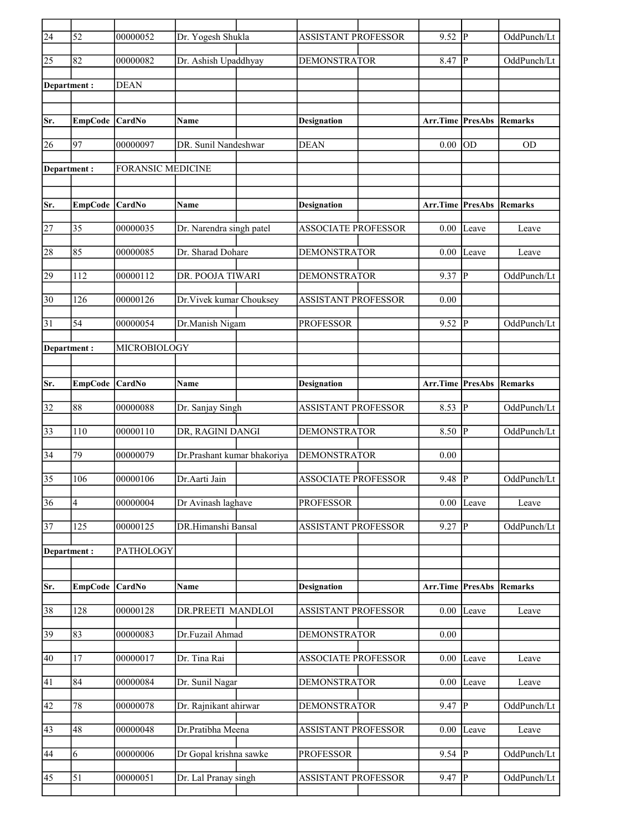| $\overline{24}$ | 52                      | 00000052                 | Dr. Yogesh Shukla           | <b>ASSISTANT PROFESSOR</b> | 9.52                            | IР             | OddPunch/Lt    |
|-----------------|-------------------------|--------------------------|-----------------------------|----------------------------|---------------------------------|----------------|----------------|
| 25              | 82                      | 00000082                 | Dr. Ashish Upaddhyay        | <b>DEMONSTRATOR</b>        | 8.47                            | IР             | OddPunch/Lt    |
|                 | Department:             | <b>DEAN</b>              |                             |                            |                                 |                |                |
|                 |                         |                          |                             |                            |                                 |                |                |
| Sr.             | <b>EmpCode</b>          | <b>CardNo</b>            | Name                        | <b>Designation</b>         | <b>Arr.Time PresAbs Remarks</b> |                |                |
| 26              | 97                      | 00000097                 | DR. Sunil Nandeshwar        | <b>DEAN</b>                | 0.00                            | <b>OD</b>      | <b>OD</b>      |
|                 | Department :            | <b>FORANSIC MEDICINE</b> |                             |                            |                                 |                |                |
|                 |                         |                          |                             |                            |                                 |                |                |
| Sr.             | <b>EmpCode</b>          | CardNo                   | Name                        | <b>Designation</b>         | <b>Arr.Time PresAbs</b>         |                | <b>Remarks</b> |
| 27              | 35                      | 00000035                 | Dr. Narendra singh patel    | <b>ASSOCIATE PROFESSOR</b> | $0.00\,$                        | Leave          | Leave          |
| 28              | 85                      | 00000085                 | Dr. Sharad Dohare           | <b>DEMONSTRATOR</b>        | 0.00                            | Leave          | Leave          |
| 29              | 112                     | 00000112                 | DR. POOJA TIWARI            | <b>DEMONSTRATOR</b>        | 9.37                            | P              | OddPunch/Lt    |
| $\overline{30}$ | 126                     | 00000126                 | Dr.Vivek kumar Chouksey     | <b>ASSISTANT PROFESSOR</b> | 0.00                            |                |                |
| 31              | 54                      | 00000054                 | Dr.Manish Nigam             | <b>PROFESSOR</b>           | 9.52                            | <sup>1</sup> P | OddPunch/Lt    |
|                 |                         |                          |                             |                            |                                 |                |                |
| Department :    |                         | MICROBIOLOGY             |                             |                            |                                 |                |                |
| Sr.             |                         | CardNo                   | Name                        |                            | Arr.Time PresAbs                |                | Remarks        |
|                 | <b>EmpCode</b>          |                          |                             | <b>Designation</b>         |                                 |                |                |
| 32              | 88                      | 00000088                 | Dr. Sanjay Singh            | <b>ASSISTANT PROFESSOR</b> | 8.53                            | <sup>1</sup> P | OddPunch/Lt    |
| $\overline{33}$ | 110                     | 00000110                 | DR, RAGINI DANGI            | <b>DEMONSTRATOR</b>        | $8.50$ P                        |                | OddPunch/Lt    |
| 34              | 79                      | 00000079                 | Dr.Prashant kumar bhakoriya | <b>DEMONSTRATOR</b>        | 0.00                            |                |                |
| $\overline{35}$ | 106                     | 00000106                 | Dr.Aarti Jain               | <b>ASSOCIATE PROFESSOR</b> | 9.48                            | P              | OddPunch/Lt    |
| $\overline{36}$ | $\overline{\mathbf{4}}$ | 00000004                 | Dr Avinash laghave          | <b>PROFESSOR</b>           | 0.00                            | Leave          | Leave          |
| $\overline{37}$ | 125                     | 00000125                 | DR.Himanshi Bansal          | <b>ASSISTANT PROFESSOR</b> | 9.27                            | P              | OddPunch/Lt    |
|                 | Department:             | PATHOLOGY                |                             |                            |                                 |                |                |
|                 |                         |                          |                             |                            |                                 |                |                |
| Sr.             | <b>EmpCode</b>          | CardNo                   | Name                        | <b>Designation</b>         | Arr.Time PresAbs                |                | Remarks        |
| 38              | 128                     | 00000128                 | DR.PREETI MANDLOI           | ASSISTANT PROFESSOR        | 0.00                            | Leave          | Leave          |
| 39              | 83                      | 00000083                 | Dr.Fuzail Ahmad             | <b>DEMONSTRATOR</b>        | 0.00                            |                |                |
| 40              | $17$                    | 00000017                 | Dr. Tina Rai                | <b>ASSOCIATE PROFESSOR</b> | 0.00                            | Leave          | Leave          |
|                 |                         |                          |                             |                            |                                 |                |                |
| 41              | 84                      | 00000084                 | Dr. Sunil Nagar             | <b>DEMONSTRATOR</b>        | 0.00                            | Leave          | Leave          |
| 42              | 78                      | 00000078                 | Dr. Rajnikant ahirwar       | DEMONSTRATOR               | 9.47                            | P              | OddPunch/Lt    |
| 43              | 48                      | 00000048                 | Dr.Pratibha Meena           | <b>ASSISTANT PROFESSOR</b> | 0.00                            | Leave          | Leave          |
| 44              | 6                       | 00000006                 | Dr Gopal krishna sawke      | <b>PROFESSOR</b>           | 9.54                            | P              | OddPunch/Lt    |
| 45              | 51                      | 00000051                 | Dr. Lal Pranay singh        | <b>ASSISTANT PROFESSOR</b> | $9.47$ P                        |                | OddPunch/Lt    |
|                 |                         |                          |                             |                            |                                 |                |                |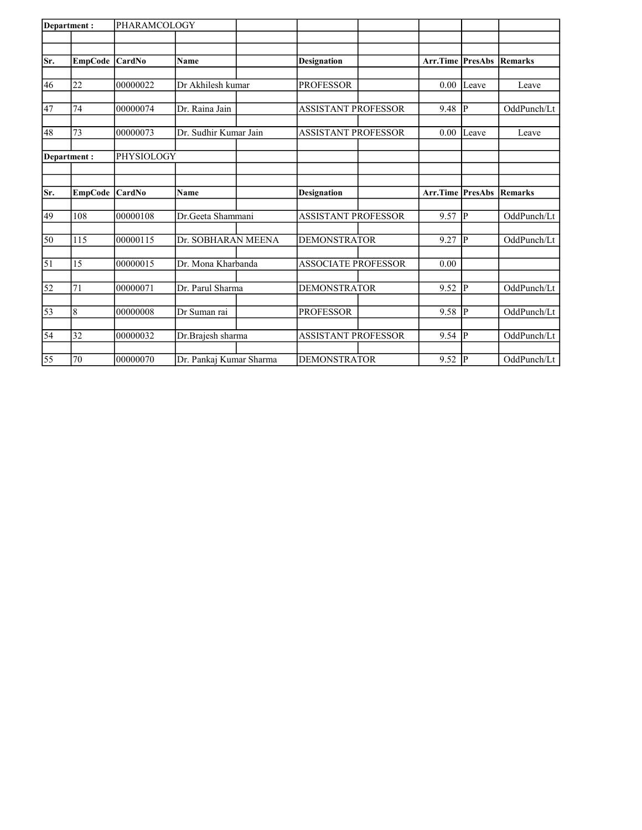| Department:     |                 | PHARAMCOLOGY  |                         |                            |                         |               |                |
|-----------------|-----------------|---------------|-------------------------|----------------------------|-------------------------|---------------|----------------|
|                 |                 |               |                         |                            |                         |               |                |
| Sr.             | <b>EmpCode</b>  | <b>CardNo</b> | Name                    | <b>Designation</b>         | <b>Arr.Time PresAbs</b> |               | Remarks        |
|                 |                 |               |                         |                            |                         |               |                |
| 46              | 22              | 00000022      | Dr Akhilesh kumar       | <b>PROFESSOR</b>           | 0.00                    | Leave         | Leave          |
| 47              | 74              | 00000074      | Dr. Raina Jain          | <b>ASSISTANT PROFESSOR</b> | 9.48                    | P             | OddPunch/Lt    |
|                 |                 |               |                         |                            |                         |               |                |
| 48              | 73              | 00000073      | Dr. Sudhir Kumar Jain   | <b>ASSISTANT PROFESSOR</b> | 0.00                    | Leave         | Leave          |
|                 | Department:     | PHYSIOLOGY    |                         |                            |                         |               |                |
|                 |                 |               |                         |                            |                         |               |                |
|                 |                 |               |                         |                            |                         |               |                |
| Sr.             | <b>EmpCode</b>  | CardNo        | Name                    | <b>Designation</b>         | Arr.Time PresAbs        |               | <b>Remarks</b> |
| 49              | 108             | 00000108      | Dr.Geeta Shammani       | <b>ASSISTANT PROFESSOR</b> | 9.57                    | P             | OddPunch/Lt    |
| 50              | 115             | 00000115      | Dr. SOBHARAN MEENA      | <b>DEMONSTRATOR</b>        | 9.27                    | P             | OddPunch/Lt    |
|                 |                 |               |                         |                            |                         |               |                |
| $\vert$ 51      | 15              | 00000015      | Dr. Mona Kharbanda      | <b>ASSOCIATE PROFESSOR</b> | 0.00                    |               |                |
| $\overline{52}$ | 71              | 00000071      | Dr. Parul Sharma        | <b>DEMONSTRATOR</b>        | 9.52                    | P             | OddPunch/Lt    |
| 53              | 8               | 00000008      | Dr Suman rai            | <b>PROFESSOR</b>           | 9.58                    | lР            | OddPunch/Lt    |
|                 |                 |               |                         |                            |                         |               |                |
| 54              | $\overline{32}$ | 00000032      | Dr.Brajesh sharma       | <b>ASSISTANT PROFESSOR</b> | 9.54                    | P             | OddPunch/Lt    |
| 55              | 70              | 00000070      | Dr. Pankaj Kumar Sharma | <b>DEMONSTRATOR</b>        | 9.52                    | <sup> p</sup> | OddPunch/Lt    |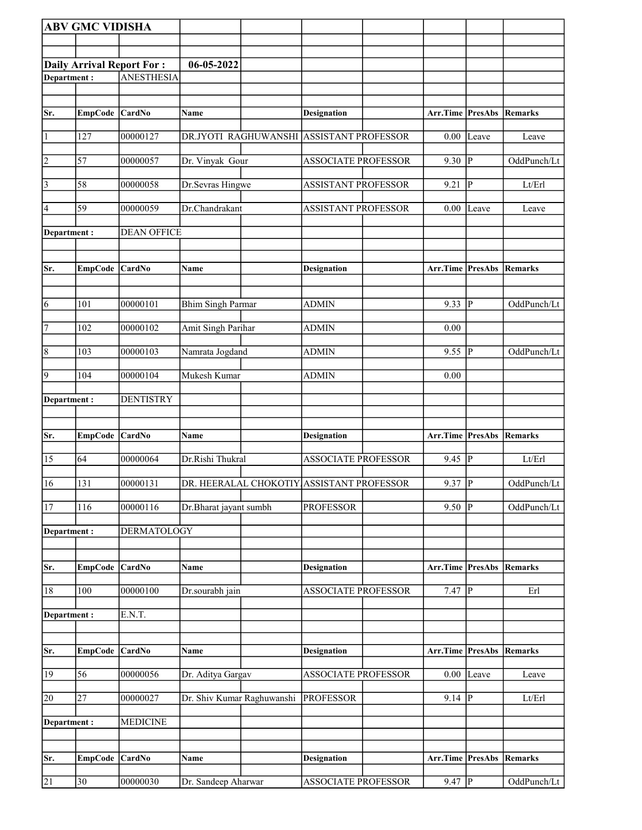|                 | <b>ABV GMC VIDISHA</b> |                           |                            |                                           |                          |                         |                |
|-----------------|------------------------|---------------------------|----------------------------|-------------------------------------------|--------------------------|-------------------------|----------------|
|                 |                        |                           |                            |                                           |                          |                         |                |
|                 |                        | Daily Arrival Report For: | 06-05-2022                 |                                           |                          |                         |                |
| Department:     |                        | <b>ANESTHESIA</b>         |                            |                                           |                          |                         |                |
|                 |                        |                           |                            |                                           |                          |                         |                |
| Sr.             |                        | CardNo                    | Name                       | <b>Designation</b>                        | Arr.Time PresAbs         |                         | Remarks        |
|                 | <b>EmpCode</b>         |                           |                            |                                           |                          |                         |                |
| $\vert$ 1       | 127                    | 00000127                  | DR.JYOTI RAGHUWANSHI       | <b>ASSISTANT PROFESSOR</b>                | 0.00                     | Leave                   | Leave          |
| $\vert$ 2       | 57                     | 00000057                  | Dr. Vinyak Gour            | <b>ASSOCIATE PROFESSOR</b>                | 9.30                     | $\mathbf{P}$            | OddPunch/Lt    |
| $\vert$ 3       | 58                     | 00000058                  | Dr.Sevras Hingwe           | <b>ASSISTANT PROFESSOR</b>                | 9.21                     | $\mathbf{P}$            | Lt/Erl         |
| $\vert 4 \vert$ | 59                     | 00000059                  | Dr.Chandrakant             | <b>ASSISTANT PROFESSOR</b>                | 0.00                     | Leave                   | Leave          |
| Department :    |                        | <b>DEAN OFFICE</b>        |                            |                                           |                          |                         |                |
|                 |                        |                           |                            |                                           |                          |                         |                |
|                 |                        |                           |                            |                                           |                          |                         |                |
| Sr.             | <b>EmpCode</b>         | CardNo                    | Name                       | <b>Designation</b>                        | Arr.Time                 | <b>PresAbs</b>          | Remarks        |
|                 |                        |                           |                            |                                           |                          |                         |                |
| 6               | 101                    | 00000101                  | <b>Bhim Singh Parmar</b>   | <b>ADMIN</b>                              | 9.33                     | $\mathbf{P}$            | OddPunch/Lt    |
| 7               | 102                    | 00000102                  | Amit Singh Parihar         | ADMIN                                     | 0.00                     |                         |                |
| $\vert 8$       | 103                    | 00000103                  | Namrata Jogdand            | <b>ADMIN</b>                              | 9.55                     | ${\bf P}$               | OddPunch/Lt    |
| 9               | 104                    | 00000104                  | Mukesh Kumar               | <b>ADMIN</b>                              | 0.00                     |                         |                |
| Department:     |                        | <b>DENTISTRY</b>          |                            |                                           |                          |                         |                |
|                 |                        |                           |                            |                                           |                          |                         |                |
| Sr.             | <b>EmpCode</b>         | CardNo                    | Name                       | <b>Designation</b>                        | Arr.Time                 | PresAbs                 | Remarks        |
| 15              | 64                     | 00000064                  | Dr.Rishi Thukral           | <b>ASSOCIATE PROFESSOR</b>                | 9.45                     | $\mathbf{P}$            | Lt/Erl         |
|                 |                        |                           |                            |                                           |                          |                         |                |
| 16              | 131                    | 00000131                  |                            | DR. HEERALAL CHOKOTIY ASSISTANT PROFESSOR | $9.37$ P                 |                         | OddPunch/Lt    |
| 17              | 116                    | 00000116                  | Dr.Bharat jayant sumbh     | <b>PROFESSOR</b>                          | 9.50                     | P                       | OddPunch/Lt    |
| Department:     |                        | <b>DERMATOLOGY</b>        |                            |                                           |                          |                         |                |
|                 |                        |                           |                            |                                           |                          |                         |                |
| Sr.             | <b>EmpCode</b>         | CardNo                    | Name                       | <b>Designation</b>                        | Arr.Time                 | <b>PresAbs</b>          | <b>Remarks</b> |
| 18              | 100                    | 00000100                  | Dr.sourabh jain            | <b>ASSOCIATE PROFESSOR</b>                | 7.47                     | $\overline{\mathbf{P}}$ | Erl            |
| Department:     |                        | E.N.T.                    |                            |                                           |                          |                         |                |
|                 |                        |                           |                            |                                           |                          |                         |                |
| Sr.             | <b>EmpCode</b>         | CardNo                    | Name                       | <b>Designation</b>                        | Arr.Time PresAbs Remarks |                         |                |
|                 |                        |                           |                            |                                           |                          |                         |                |
| 19              | 56                     | 00000056                  | Dr. Aditya Gargav          | <b>ASSOCIATE PROFESSOR</b>                | $0.00\,$                 | Leave                   | Leave          |
| 20              | $\overline{27}$        | 00000027                  | Dr. Shiv Kumar Raghuwanshi | <b>PROFESSOR</b>                          | 9.14                     | $\mathbf P$             | Lt/Erl         |
| Department:     |                        | <b>MEDICINE</b>           |                            |                                           |                          |                         |                |
|                 |                        |                           |                            |                                           |                          |                         |                |
|                 | <b>EmpCode</b>         | CardNo                    | <b>Name</b>                |                                           |                          |                         | Remarks        |
| Sr.             |                        |                           |                            | <b>Designation</b>                        | Arr.Time                 | <b>PresAbs</b>          |                |
| 21              | 30                     | 00000030                  | Dr. Sandeep Aharwar        | <b>ASSOCIATE PROFESSOR</b>                | 9.47                     | $\overline{P}$          | OddPunch/Lt    |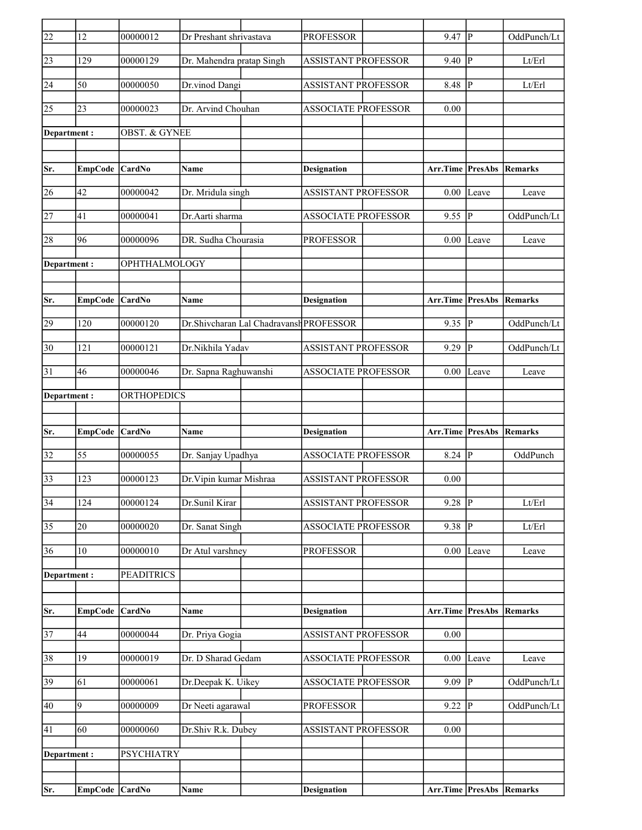| 22              | 12             | 00000012                 | Dr Preshant shrivastava   |                                         | <b>PROFESSOR</b>           | 9.47                            | lР             | OddPunch/Lt                |
|-----------------|----------------|--------------------------|---------------------------|-----------------------------------------|----------------------------|---------------------------------|----------------|----------------------------|
| 23              | 129            | 00000129                 | Dr. Mahendra pratap Singh |                                         | <b>ASSISTANT PROFESSOR</b> | 9.40                            | lР             | Lt/Erl                     |
| 24              | 50             | 00000050                 | Dr.vinod Dangi            |                                         | <b>ASSISTANT PROFESSOR</b> | 8.48                            | P              | Lt/Erl                     |
| 25              | 23             | 00000023                 | Dr. Arvind Chouhan        |                                         | <b>ASSOCIATE PROFESSOR</b> | 0.00                            |                |                            |
|                 |                |                          |                           |                                         |                            |                                 |                |                            |
| Department:     |                | <b>OBST. &amp; GYNEE</b> |                           |                                         |                            |                                 |                |                            |
|                 |                |                          |                           |                                         |                            |                                 |                |                            |
| Sr.             | <b>EmpCode</b> | <b>CardNo</b>            | <b>Name</b>               |                                         | <b>Designation</b>         | Arr.Time PresAbs                |                | Remarks                    |
| 26              | 42             | 00000042                 | Dr. Mridula singh         |                                         | <b>ASSISTANT PROFESSOR</b> | 0.00                            | Leave          | Leave                      |
| 27              | 41             | 00000041                 | Dr.Aarti sharma           |                                         | <b>ASSOCIATE PROFESSOR</b> | 9.55                            | P              | OddPunch/Lt                |
| 28              | 96             | 00000096                 | DR. Sudha Chourasia       |                                         | <b>PROFESSOR</b>           | 0.00                            | Leave          | Leave                      |
| Department:     |                | OPHTHALMOLOGY            |                           |                                         |                            |                                 |                |                            |
|                 |                |                          |                           |                                         |                            |                                 |                |                            |
| Sr.             | EmpCode        | CardNo                   | <b>Name</b>               |                                         | <b>Designation</b>         | <b>Arr.Time PresAbs</b>         |                | Remarks                    |
|                 |                |                          |                           |                                         |                            |                                 |                |                            |
| 29              | 120            | 00000120                 |                           | Dr.Shivcharan Lal Chadravansh PROFESSOR |                            | 9.35                            | lР             | OddPunch/Lt                |
| 30              | 121            | 00000121                 | Dr.Nikhila Yadav          |                                         | <b>ASSISTANT PROFESSOR</b> | 9.29                            | P              | OddPunch/Lt                |
| $\overline{31}$ | 46             | 00000046                 | Dr. Sapna Raghuwanshi     |                                         | <b>ASSOCIATE PROFESSOR</b> | 0.00                            | Leave          | Leave                      |
| Department :    |                | ORTHOPEDICS              |                           |                                         |                            |                                 |                |                            |
|                 |                |                          |                           |                                         |                            |                                 |                |                            |
| Sr.             | EmpCode CardNo |                          | Name                      |                                         | <b>Designation</b>         | <b>Arr.Time PresAbs Remarks</b> |                |                            |
| 32              | 55             | 00000055                 | Dr. Sanjay Upadhya        |                                         | <b>ASSOCIATE PROFESSOR</b> | 8.24                            | IР             | OddPunch                   |
|                 |                |                          |                           |                                         |                            |                                 |                |                            |
| 33              | 123            | 00000123                 | Dr. Vipin kumar Mishraa   |                                         | <b>ASSISTANT PROFESSOR</b> | 0.00                            |                |                            |
| $\overline{34}$ | 124            | 00000124                 | Dr.Sunil Kirar            |                                         | <b>ASSISTANT PROFESSOR</b> | 9.28                            | $ {\bf P} $    | Lt/Erl                     |
| 35              | 20             | 00000020                 | Dr. Sanat Singh           |                                         | ASSOCIATE PROFESSOR        | 9.38                            | P              | $\mathbf{Lt}/\mathbf{Erl}$ |
| 36              | 10             | 00000010                 | Dr Atul varshney          |                                         | <b>PROFESSOR</b>           | 0.00                            | Leave          | Leave                      |
| Department:     |                | <b>PEADITRICS</b>        |                           |                                         |                            |                                 |                |                            |
|                 |                |                          |                           |                                         |                            |                                 |                |                            |
| Sr.             | <b>EmpCode</b> | CardNo                   | Name                      |                                         | <b>Designation</b>         | <b>Arr.Time PresAbs Remarks</b> |                |                            |
|                 |                |                          |                           |                                         |                            |                                 |                |                            |
| $\overline{37}$ | 44             | 00000044                 | Dr. Priya Gogia           |                                         | <b>ASSISTANT PROFESSOR</b> | 0.00                            |                |                            |
| 38              | 19             | 00000019                 | Dr. D Sharad Gedam        |                                         | <b>ASSOCIATE PROFESSOR</b> | 0.00                            | Leave          | Leave                      |
| 39              | 61             | 00000061                 | Dr.Deepak K. Uikey        |                                         | <b>ASSOCIATE PROFESSOR</b> | 9.09                            | <sup> </sup> P | OddPunch/Lt                |
| 40              | $\overline{9}$ | 00000009                 | Dr Neeti agarawal         |                                         | <b>PROFESSOR</b>           | 9.22                            | <sup> </sup> P | OddPunch/Lt                |
| $\overline{41}$ | 60             | 00000060                 | Dr.Shiv R.k. Dubey        |                                         | <b>ASSISTANT PROFESSOR</b> | 0.00                            |                |                            |
|                 |                |                          |                           |                                         |                            |                                 |                |                            |
|                 |                |                          |                           |                                         |                            |                                 |                |                            |
|                 | Department :   | <b>PSYCHIATRY</b>        |                           |                                         |                            |                                 |                |                            |
| Sr.             | EmpCode CardNo |                          | Name                      |                                         | <b>Designation</b>         | Arr.Time PresAbs Remarks        |                |                            |